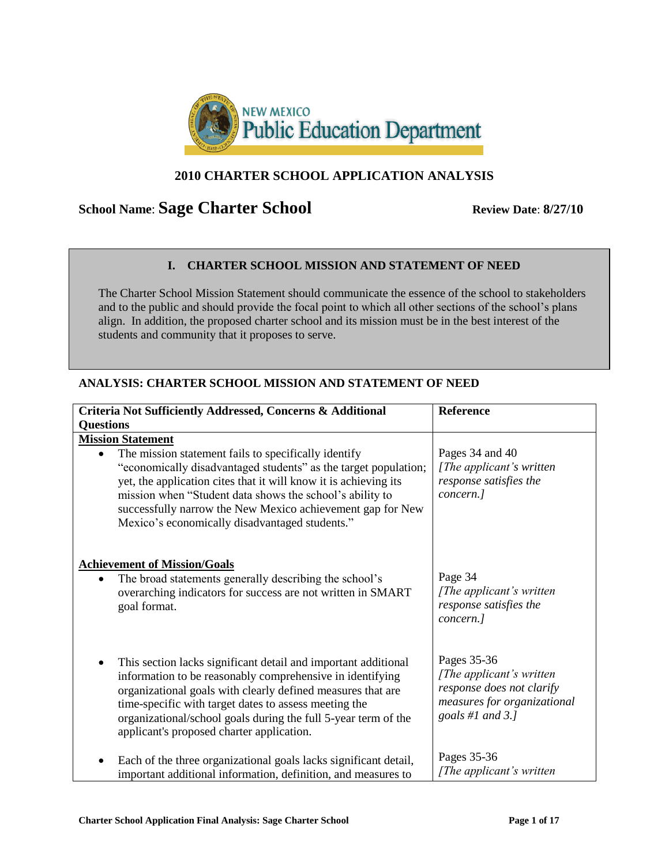

### **2010 CHARTER SCHOOL APPLICATION ANALYSIS**

# **School Name: Sage Charter School** Review Date: 8/27/10

### **I. CHARTER SCHOOL MISSION AND STATEMENT OF NEED**

The Charter School Mission Statement should communicate the essence of the school to stakeholders and to the public and should provide the focal point to which all other sections of the school"s plans align. In addition, the proposed charter school and its mission must be in the best interest of the students and community that it proposes to serve.

### **ANALYSIS: CHARTER SCHOOL MISSION AND STATEMENT OF NEED**

| Criteria Not Sufficiently Addressed, Concerns & Additional                                                                                                                                                                                                                                                                                                                                          | <b>Reference</b>                                                                                                         |
|-----------------------------------------------------------------------------------------------------------------------------------------------------------------------------------------------------------------------------------------------------------------------------------------------------------------------------------------------------------------------------------------------------|--------------------------------------------------------------------------------------------------------------------------|
| <b>Questions</b>                                                                                                                                                                                                                                                                                                                                                                                    |                                                                                                                          |
| <b>Mission Statement</b><br>The mission statement fails to specifically identify<br>"economically disadvantaged students" as the target population;<br>yet, the application cites that it will know it is achieving its<br>mission when "Student data shows the school's ability to<br>successfully narrow the New Mexico achievement gap for New<br>Mexico's economically disadvantaged students." | Pages 34 and 40<br>[The applicant's written]<br>response satisfies the<br>concern.]                                      |
| <b>Achievement of Mission/Goals</b><br>The broad statements generally describing the school's<br>$\bullet$<br>overarching indicators for success are not written in SMART<br>goal format.                                                                                                                                                                                                           | Page 34<br>[The applicant's written]<br>response satisfies the<br>concern.]                                              |
| This section lacks significant detail and important additional<br>information to be reasonably comprehensive in identifying<br>organizational goals with clearly defined measures that are<br>time-specific with target dates to assess meeting the<br>organizational/school goals during the full 5-year term of the<br>applicant's proposed charter application.                                  | Pages 35-36<br>[The applicant's written]<br>response does not clarify<br>measures for organizational<br>goals #1 and 3.] |
| Each of the three organizational goals lacks significant detail,<br>important additional information, definition, and measures to                                                                                                                                                                                                                                                                   | Pages 35-36<br>[The applicant's written]                                                                                 |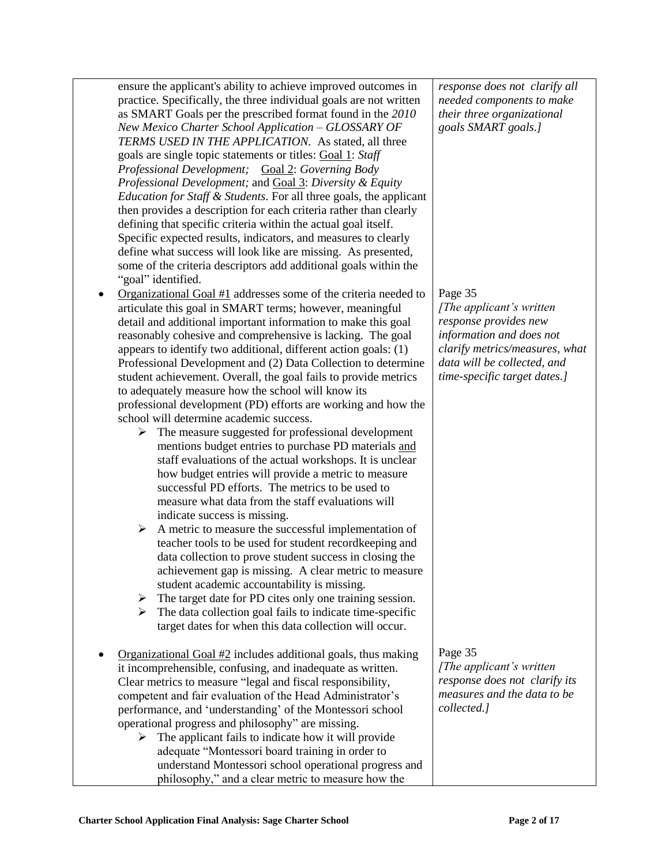| ensure the applicant's ability to achieve improved outcomes in<br>practice. Specifically, the three individual goals are not written<br>as SMART Goals per the prescribed format found in the 2010<br>New Mexico Charter School Application - GLOSSARY OF<br>TERMS USED IN THE APPLICATION. As stated, all three<br>goals are single topic statements or titles: Goal 1: Staff<br>Professional Development; Goal 2: Governing Body<br>Professional Development; and Goal 3: Diversity & Equity<br><i>Education for Staff &amp; Students.</i> For all three goals, the applicant<br>then provides a description for each criteria rather than clearly<br>defining that specific criteria within the actual goal itself.<br>Specific expected results, indicators, and measures to clearly<br>define what success will look like are missing. As presented,<br>some of the criteria descriptors add additional goals within the<br>"goal" identified.                                                                                                                                                                                                                                                                                                                                                                                                                                                                                                                                                       | response does not clarify all<br>needed components to make<br>their three organizational<br>goals SMART goals.]                                                                            |
|-----------------------------------------------------------------------------------------------------------------------------------------------------------------------------------------------------------------------------------------------------------------------------------------------------------------------------------------------------------------------------------------------------------------------------------------------------------------------------------------------------------------------------------------------------------------------------------------------------------------------------------------------------------------------------------------------------------------------------------------------------------------------------------------------------------------------------------------------------------------------------------------------------------------------------------------------------------------------------------------------------------------------------------------------------------------------------------------------------------------------------------------------------------------------------------------------------------------------------------------------------------------------------------------------------------------------------------------------------------------------------------------------------------------------------------------------------------------------------------------------------------|--------------------------------------------------------------------------------------------------------------------------------------------------------------------------------------------|
| Organizational Goal $#1$ addresses some of the criteria needed to<br>articulate this goal in SMART terms; however, meaningful<br>detail and additional important information to make this goal<br>reasonably cohesive and comprehensive is lacking. The goal<br>appears to identify two additional, different action goals: (1)<br>Professional Development and (2) Data Collection to determine<br>student achievement. Overall, the goal fails to provide metrics<br>to adequately measure how the school will know its<br>professional development (PD) efforts are working and how the<br>school will determine academic success.<br>The measure suggested for professional development<br>➤<br>mentions budget entries to purchase PD materials and<br>staff evaluations of the actual workshops. It is unclear<br>how budget entries will provide a metric to measure<br>successful PD efforts. The metrics to be used to<br>measure what data from the staff evaluations will<br>indicate success is missing.<br>A metric to measure the successful implementation of<br>≻<br>teacher tools to be used for student recordkeeping and<br>data collection to prove student success in closing the<br>achievement gap is missing. A clear metric to measure<br>student academic accountability is missing.<br>The target date for PD cites only one training session.<br>≻<br>The data collection goal fails to indicate time-specific<br>➤<br>target dates for when this data collection will occur. | Page 35<br>[The applicant's written]<br>response provides new<br>information and does not<br>clarify metrics/measures, what<br>data will be collected, and<br>time-specific target dates.] |
| Organizational Goal $#2$ includes additional goals, thus making<br>it incomprehensible, confusing, and inadequate as written.<br>Clear metrics to measure "legal and fiscal responsibility,<br>competent and fair evaluation of the Head Administrator's<br>performance, and 'understanding' of the Montessori school<br>operational progress and philosophy" are missing.<br>The applicant fails to indicate how it will provide<br>➤<br>adequate "Montessori board training in order to<br>understand Montessori school operational progress and<br>philosophy," and a clear metric to measure how the                                                                                                                                                                                                                                                                                                                                                                                                                                                                                                                                                                                                                                                                                                                                                                                                                                                                                                  | Page 35<br>[The applicant's written]<br>response does not clarify its<br>measures and the data to be<br>collected.]                                                                        |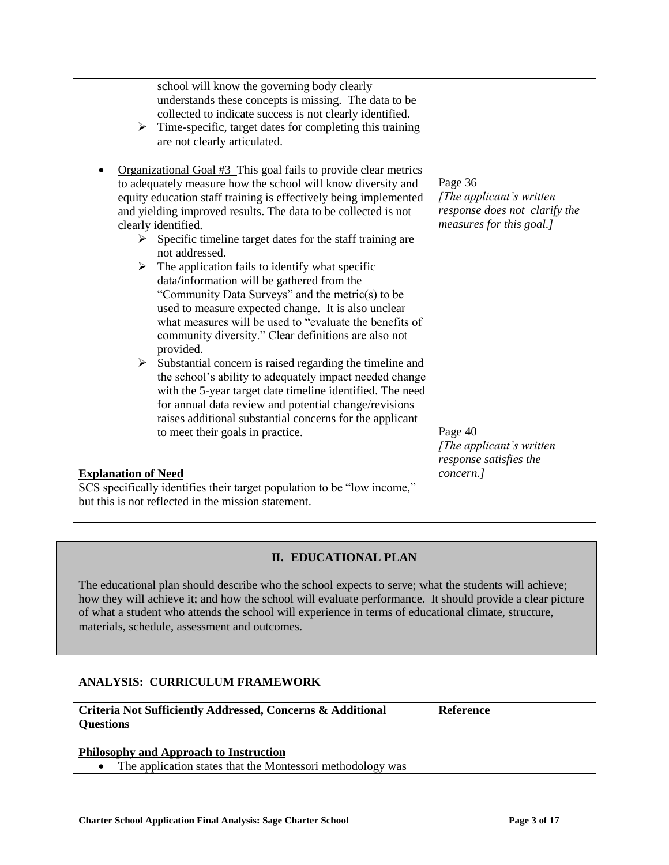| school will know the governing body clearly<br>understands these concepts is missing. The data to be<br>collected to indicate success is not clearly identified.<br>Time-specific, target dates for completing this training<br>➤<br>are not clearly articulated.<br>Organizational Goal #3_This goal fails to provide clear metrics |                               |
|--------------------------------------------------------------------------------------------------------------------------------------------------------------------------------------------------------------------------------------------------------------------------------------------------------------------------------------|-------------------------------|
| to adequately measure how the school will know diversity and                                                                                                                                                                                                                                                                         | Page 36                       |
| equity education staff training is effectively being implemented                                                                                                                                                                                                                                                                     | [The applicant's written]     |
| and yielding improved results. The data to be collected is not                                                                                                                                                                                                                                                                       | response does not clarify the |
| clearly identified.                                                                                                                                                                                                                                                                                                                  | measures for this goal.]      |
| Specific timeline target dates for the staff training are<br>➤                                                                                                                                                                                                                                                                       |                               |
| not addressed.                                                                                                                                                                                                                                                                                                                       |                               |
| $\triangleright$ The application fails to identify what specific                                                                                                                                                                                                                                                                     |                               |
| data/information will be gathered from the                                                                                                                                                                                                                                                                                           |                               |
| "Community Data Surveys" and the metric(s) to be                                                                                                                                                                                                                                                                                     |                               |
| used to measure expected change. It is also unclear                                                                                                                                                                                                                                                                                  |                               |
| what measures will be used to "evaluate the benefits of                                                                                                                                                                                                                                                                              |                               |
| community diversity." Clear definitions are also not                                                                                                                                                                                                                                                                                 |                               |
| provided.<br>$\triangleright$ Substantial concern is raised regarding the timeline and                                                                                                                                                                                                                                               |                               |
| the school's ability to adequately impact needed change                                                                                                                                                                                                                                                                              |                               |
| with the 5-year target date timeline identified. The need                                                                                                                                                                                                                                                                            |                               |
| for annual data review and potential change/revisions                                                                                                                                                                                                                                                                                |                               |
| raises additional substantial concerns for the applicant                                                                                                                                                                                                                                                                             |                               |
| to meet their goals in practice.                                                                                                                                                                                                                                                                                                     | Page 40                       |
|                                                                                                                                                                                                                                                                                                                                      | [The applicant's written]     |
|                                                                                                                                                                                                                                                                                                                                      | response satisfies the        |
| <b>Explanation of Need</b>                                                                                                                                                                                                                                                                                                           | concern.]                     |
| SCS specifically identifies their target population to be "low income,"                                                                                                                                                                                                                                                              |                               |
| but this is not reflected in the mission statement.                                                                                                                                                                                                                                                                                  |                               |
|                                                                                                                                                                                                                                                                                                                                      |                               |

### **II. EDUCATIONAL PLAN**

The educational plan should describe who the school expects to serve; what the students will achieve; how they will achieve it; and how the school will evaluate performance. It should provide a clear picture of what a student who attends the school will experience in terms of educational climate, structure, materials, schedule, assessment and outcomes.

### **ANALYSIS: CURRICULUM FRAMEWORK**

| <b>Criteria Not Sufficiently Addressed, Concerns &amp; Additional</b><br><b>Questions</b>                                | Reference |
|--------------------------------------------------------------------------------------------------------------------------|-----------|
| <b>Philosophy and Approach to Instruction</b><br>The application states that the Montessori methodology was<br>$\bullet$ |           |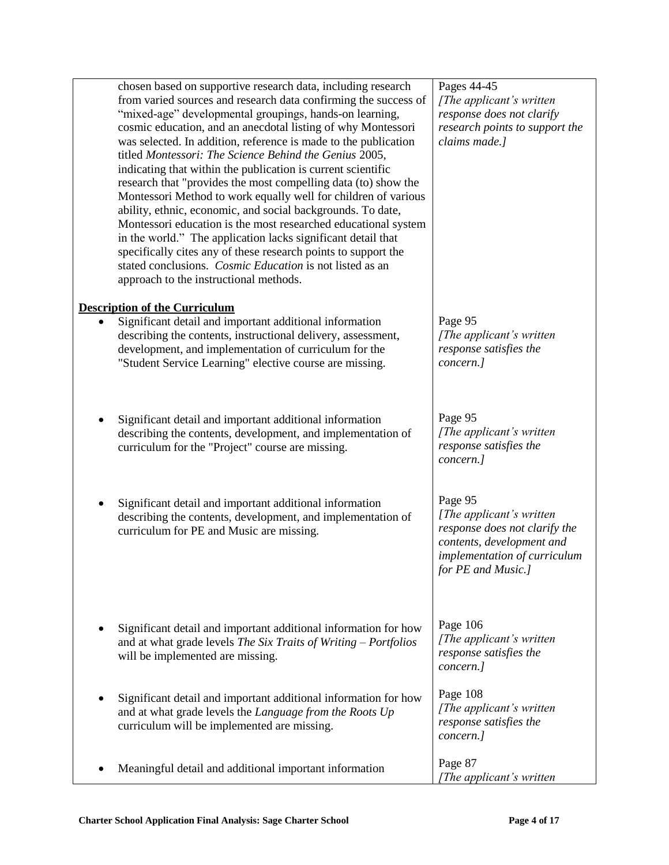| chosen based on supportive research data, including research<br>from varied sources and research data confirming the success of<br>"mixed-age" developmental groupings, hands-on learning,<br>cosmic education, and an anecdotal listing of why Montessori<br>was selected. In addition, reference is made to the publication<br>titled Montessori: The Science Behind the Genius 2005,<br>indicating that within the publication is current scientific<br>research that "provides the most compelling data (to) show the<br>Montessori Method to work equally well for children of various<br>ability, ethnic, economic, and social backgrounds. To date,<br>Montessori education is the most researched educational system<br>in the world." The application lacks significant detail that<br>specifically cites any of these research points to support the<br>stated conclusions. Cosmic Education is not listed as an<br>approach to the instructional methods. | Pages 44-45<br>[The applicant's written]<br>response does not clarify<br>research points to support the<br>claims made.]                                |
|----------------------------------------------------------------------------------------------------------------------------------------------------------------------------------------------------------------------------------------------------------------------------------------------------------------------------------------------------------------------------------------------------------------------------------------------------------------------------------------------------------------------------------------------------------------------------------------------------------------------------------------------------------------------------------------------------------------------------------------------------------------------------------------------------------------------------------------------------------------------------------------------------------------------------------------------------------------------|---------------------------------------------------------------------------------------------------------------------------------------------------------|
| <b>Description of the Curriculum</b><br>Significant detail and important additional information<br>describing the contents, instructional delivery, assessment,<br>development, and implementation of curriculum for the<br>"Student Service Learning" elective course are missing.                                                                                                                                                                                                                                                                                                                                                                                                                                                                                                                                                                                                                                                                                  | Page 95<br>[The applicant's written]<br>response satisfies the<br>concern.]                                                                             |
| Significant detail and important additional information<br>describing the contents, development, and implementation of<br>curriculum for the "Project" course are missing.                                                                                                                                                                                                                                                                                                                                                                                                                                                                                                                                                                                                                                                                                                                                                                                           | Page 95<br>[The applicant's written<br>response satisfies the<br>concern.]                                                                              |
| Significant detail and important additional information<br>describing the contents, development, and implementation of<br>curriculum for PE and Music are missing.                                                                                                                                                                                                                                                                                                                                                                                                                                                                                                                                                                                                                                                                                                                                                                                                   | Page 95<br>[The applicant's written<br>response does not clarify the<br>contents, development and<br>implementation of curriculum<br>for PE and Music.] |
| Significant detail and important additional information for how<br>and at what grade levels The Six Traits of Writing - Portfolios<br>will be implemented are missing.                                                                                                                                                                                                                                                                                                                                                                                                                                                                                                                                                                                                                                                                                                                                                                                               | Page 106<br>[The applicant's written]<br>response satisfies the<br>concern.]                                                                            |
| Significant detail and important additional information for how<br>and at what grade levels the Language from the Roots Up<br>curriculum will be implemented are missing.                                                                                                                                                                                                                                                                                                                                                                                                                                                                                                                                                                                                                                                                                                                                                                                            | Page 108<br>[The applicant's written]<br>response satisfies the<br>concern.]                                                                            |
| Meaningful detail and additional important information                                                                                                                                                                                                                                                                                                                                                                                                                                                                                                                                                                                                                                                                                                                                                                                                                                                                                                               | Page 87<br>[The applicant's written                                                                                                                     |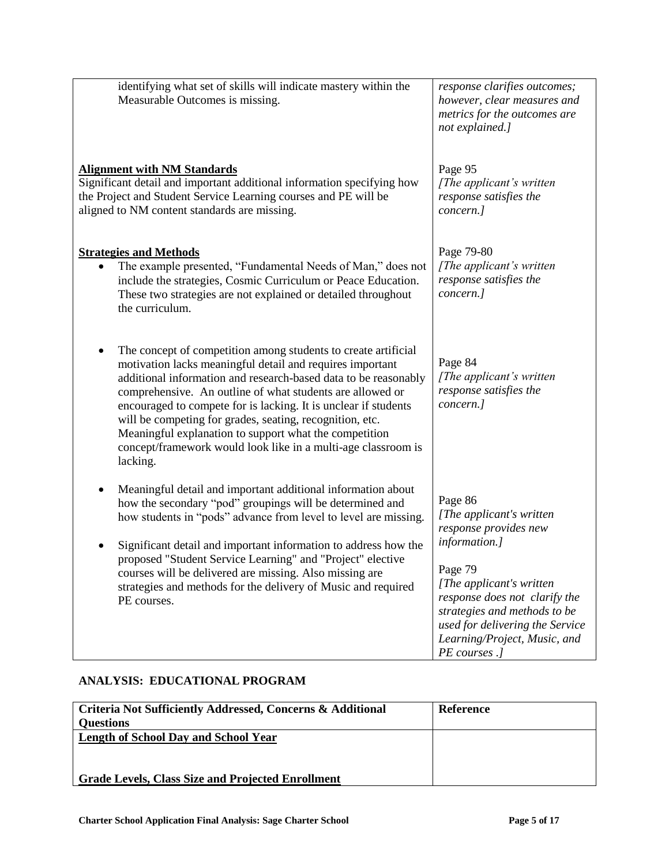| identifying what set of skills will indicate mastery within the<br>Measurable Outcomes is missing.                                                                                                                                                                                                                                                                                                                                                                                                                                | response clarifies outcomes;<br>however, clear measures and<br>metrics for the outcomes are<br>not explained.]                                                                                                                                                              |
|-----------------------------------------------------------------------------------------------------------------------------------------------------------------------------------------------------------------------------------------------------------------------------------------------------------------------------------------------------------------------------------------------------------------------------------------------------------------------------------------------------------------------------------|-----------------------------------------------------------------------------------------------------------------------------------------------------------------------------------------------------------------------------------------------------------------------------|
| <b>Alignment with NM Standards</b><br>Significant detail and important additional information specifying how<br>the Project and Student Service Learning courses and PE will be<br>aligned to NM content standards are missing.                                                                                                                                                                                                                                                                                                   | Page 95<br>[The applicant's written]<br>response satisfies the<br>concern.]                                                                                                                                                                                                 |
| <b>Strategies and Methods</b><br>The example presented, "Fundamental Needs of Man," does not<br>include the strategies, Cosmic Curriculum or Peace Education.<br>These two strategies are not explained or detailed throughout<br>the curriculum.                                                                                                                                                                                                                                                                                 | Page 79-80<br>[The applicant's written<br>response satisfies the<br>concern.]                                                                                                                                                                                               |
| The concept of competition among students to create artificial<br>motivation lacks meaningful detail and requires important<br>additional information and research-based data to be reasonably<br>comprehensive. An outline of what students are allowed or<br>encouraged to compete for is lacking. It is unclear if students<br>will be competing for grades, seating, recognition, etc.<br>Meaningful explanation to support what the competition<br>concept/framework would look like in a multi-age classroom is<br>lacking. | Page 84<br>[The applicant's written]<br>response satisfies the<br>concern.]                                                                                                                                                                                                 |
| Meaningful detail and important additional information about<br>٠<br>how the secondary "pod" groupings will be determined and<br>how students in "pods" advance from level to level are missing.<br>Significant detail and important information to address how the<br>proposed "Student Service Learning" and "Project" elective<br>courses will be delivered are missing. Also missing are<br>strategies and methods for the delivery of Music and required<br>PE courses.                                                      | Page 86<br>[The applicant's written]<br>response provides new<br>information.]<br>Page 79<br>[The applicant's written]<br>response does not clarify the<br>strategies and methods to be<br>used for delivering the Service<br>Learning/Project, Music, and<br>PE courses .] |

## **ANALYSIS: EDUCATIONAL PROGRAM**

| Criteria Not Sufficiently Addressed, Concerns & Additional | Reference |
|------------------------------------------------------------|-----------|
| <b>Questions</b>                                           |           |
| <b>Length of School Day and School Year</b>                |           |
|                                                            |           |
|                                                            |           |
| <b>Grade Levels, Class Size and Projected Enrollment</b>   |           |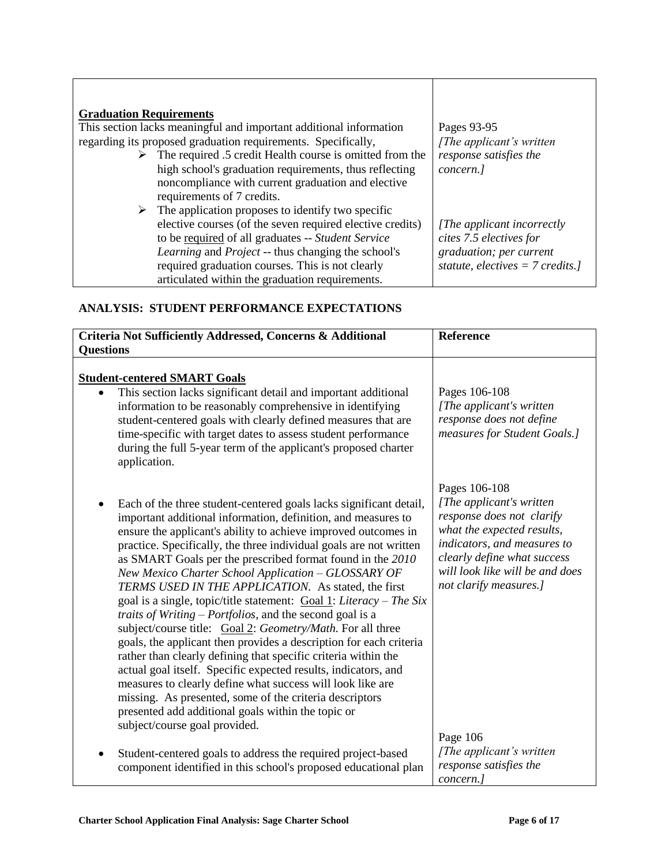| <b>Graduation Requirements</b>                                            |                                    |
|---------------------------------------------------------------------------|------------------------------------|
| This section lacks meaningful and important additional information        | Pages 93-95                        |
| regarding its proposed graduation requirements. Specifically,             | [The applicant's written           |
| $\triangleright$ The required .5 credit Health course is omitted from the | response satisfies the             |
| high school's graduation requirements, thus reflecting                    | concern.]                          |
| noncompliance with current graduation and elective                        |                                    |
| requirements of 7 credits.                                                |                                    |
| $\triangleright$ The application proposes to identify two specific        |                                    |
| elective courses (of the seven required elective credits)                 | [The applicant incorrectly]        |
| to be required of all graduates -- Student Service                        | cites 7.5 electives for            |
| <i>Learning</i> and <i>Project</i> -- thus changing the school's          | graduation; per current            |
| required graduation courses. This is not clearly                          | statute, electives = $7$ credits.] |
| articulated within the graduation requirements.                           |                                    |

Τ

### **ANALYSIS: STUDENT PERFORMANCE EXPECTATIONS**

Г

| Criteria Not Sufficiently Addressed, Concerns & Additional                                                                                                                                                                                                                                                                                                                                                                                                                                                                                                                                                                                                                                                                                                                                                                                                                                                                                                                                                                                                                                      | Reference                                                                                                                                                                                                                       |
|-------------------------------------------------------------------------------------------------------------------------------------------------------------------------------------------------------------------------------------------------------------------------------------------------------------------------------------------------------------------------------------------------------------------------------------------------------------------------------------------------------------------------------------------------------------------------------------------------------------------------------------------------------------------------------------------------------------------------------------------------------------------------------------------------------------------------------------------------------------------------------------------------------------------------------------------------------------------------------------------------------------------------------------------------------------------------------------------------|---------------------------------------------------------------------------------------------------------------------------------------------------------------------------------------------------------------------------------|
| <b>Questions</b>                                                                                                                                                                                                                                                                                                                                                                                                                                                                                                                                                                                                                                                                                                                                                                                                                                                                                                                                                                                                                                                                                |                                                                                                                                                                                                                                 |
| <b>Student-centered SMART Goals</b><br>This section lacks significant detail and important additional<br>information to be reasonably comprehensive in identifying<br>student-centered goals with clearly defined measures that are<br>time-specific with target dates to assess student performance<br>during the full 5-year term of the applicant's proposed charter<br>application.                                                                                                                                                                                                                                                                                                                                                                                                                                                                                                                                                                                                                                                                                                         | Pages 106-108<br>[The applicant's written]<br>response does not define<br>measures for Student Goals.]                                                                                                                          |
| Each of the three student-centered goals lacks significant detail,<br>important additional information, definition, and measures to<br>ensure the applicant's ability to achieve improved outcomes in<br>practice. Specifically, the three individual goals are not written<br>as SMART Goals per the prescribed format found in the 2010<br>New Mexico Charter School Application - GLOSSARY OF<br>TERMS USED IN THE APPLICATION. As stated, the first<br>goal is a single, topic/title statement: $\frac{Goal 1}{.}$ Literacy – The Six<br>traits of Writing $-$ Portfolios, and the second goal is a<br>subject/course title: Goal 2: Geometry/Math. For all three<br>goals, the applicant then provides a description for each criteria<br>rather than clearly defining that specific criteria within the<br>actual goal itself. Specific expected results, indicators, and<br>measures to clearly define what success will look like are<br>missing. As presented, some of the criteria descriptors<br>presented add additional goals within the topic or<br>subject/course goal provided. | Pages 106-108<br>[The applicant's written<br>response does not clarify<br>what the expected results,<br>indicators, and measures to<br>clearly define what success<br>will look like will be and does<br>not clarify measures.] |
| Student-centered goals to address the required project-based<br>$\bullet$<br>component identified in this school's proposed educational plan                                                                                                                                                                                                                                                                                                                                                                                                                                                                                                                                                                                                                                                                                                                                                                                                                                                                                                                                                    | Page 106<br>[The applicant's written]<br>response satisfies the<br>concern.]                                                                                                                                                    |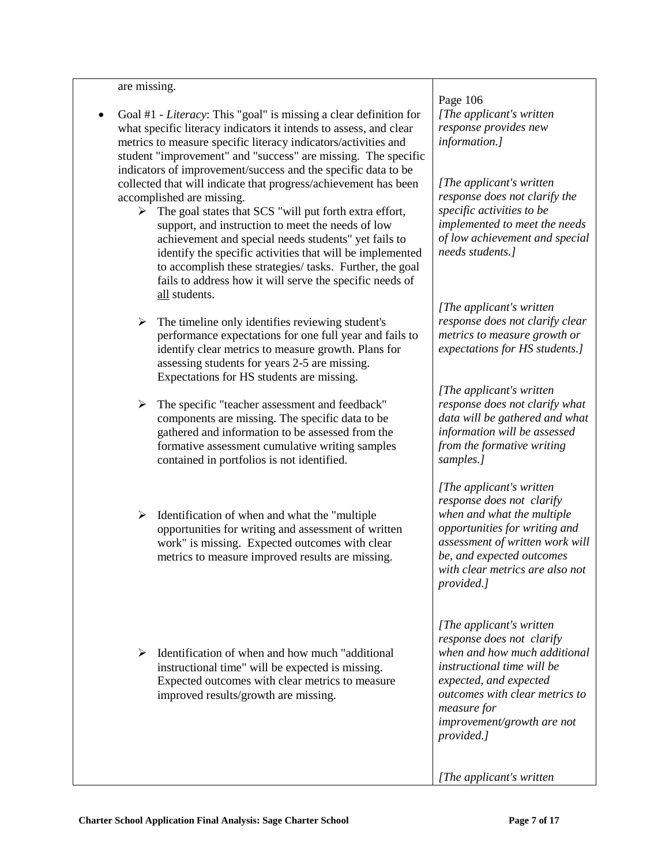#### are missing.

- Goal #1 *- Literacy*: This "goal" is missing a clear definition for what specific literacy indicators it intends to assess, and clear metrics to measure specific literacy indicators/activities and student "improvement" and "success" are missing. The specific indicators of improvement/success and the specific data to be collected that will indicate that progress/achievement has been accomplished are missing.
	- $\triangleright$  The goal states that SCS "will put forth extra effort, support, and instruction to meet the needs of low achievement and special needs students" yet fails to identify the specific activities that will be implemented to accomplish these strategies/ tasks. Further, the goal fails to address how it will serve the specific needs of all students.
	- $\triangleright$  The timeline only identifies reviewing student's performance expectations for one full year and fails to identify clear metrics to measure growth. Plans for assessing students for years 2-5 are missing. Expectations for HS students are missing.
	- $\triangleright$  The specific "teacher assessment and feedback" components are missing. The specific data to be gathered and information to be assessed from the formative assessment cumulative writing samples contained in portfolios is not identified.
	- $\triangleright$  Identification of when and what the "multiple" opportunities for writing and assessment of written work" is missing. Expected outcomes with clear metrics to measure improved results are missing.
	- $\triangleright$  Identification of when and how much "additional" instructional time" will be expected is missing. Expected outcomes with clear metrics to measure improved results/growth are missing.

Page 106 *[The applicant's written response provides new information.]*

*[The applicant's written response does not clarify the specific activities to be implemented to meet the needs of low achievement and special needs students.]*

*[The applicant's written response does not clarify clear metrics to measure growth or expectations for HS students.]*

*[The applicant's written response does not clarify what data will be gathered and what information will be assessed from the formative writing samples.]*

*[The applicant's written response does not clarify when and what the multiple opportunities for writing and assessment of written work will be, and expected outcomes with clear metrics are also not provided.]*

*[The applicant's written response does not clarify when and how much additional instructional time will be expected, and expected outcomes with clear metrics to measure for improvement/growth are not provided.]*

*[The applicant's written*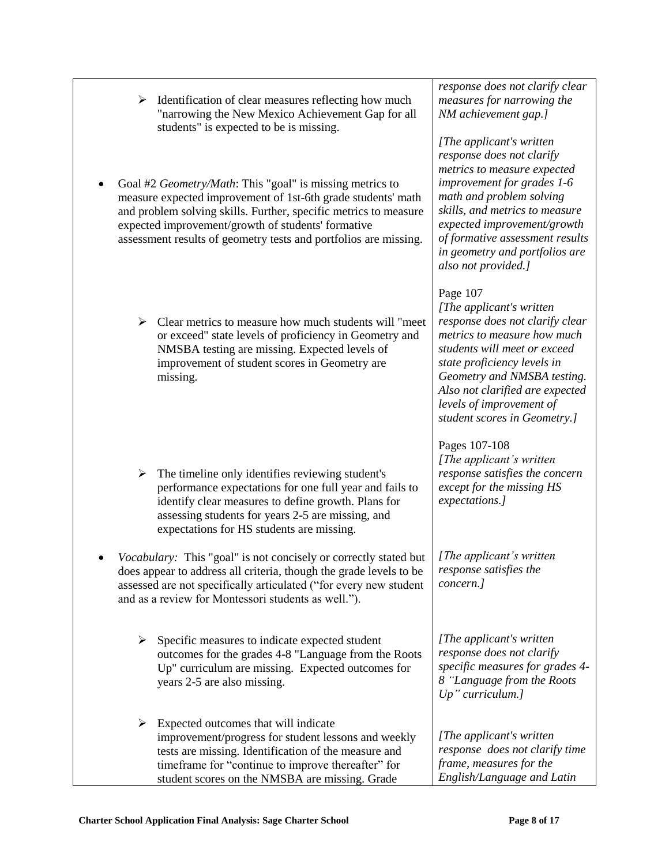|   | <b>Charter School Application Final Analysis: Sage Charter School</b>                                                                                                                                                                                                                 | Page 8 of 17                                                                                                                                                                                                                                                                                         |
|---|---------------------------------------------------------------------------------------------------------------------------------------------------------------------------------------------------------------------------------------------------------------------------------------|------------------------------------------------------------------------------------------------------------------------------------------------------------------------------------------------------------------------------------------------------------------------------------------------------|
|   | $\triangleright$ Expected outcomes that will indicate<br>improvement/progress for student lessons and weekly<br>tests are missing. Identification of the measure and<br>timeframe for "continue to improve thereafter" for<br>student scores on the NMSBA are missing. Grade          | [The applicant's written]<br>response does not clarify time<br>frame, measures for the<br>English/Language and Latin                                                                                                                                                                                 |
| ≻ | Specific measures to indicate expected student<br>outcomes for the grades 4-8 "Language from the Roots<br>Up" curriculum are missing. Expected outcomes for<br>years 2-5 are also missing.                                                                                            | [The applicant's written]<br>response does not clarify<br>specific measures for grades 4-<br>8 "Language from the Roots<br>$Up$ " curriculum.]                                                                                                                                                       |
|   | Vocabulary: This "goal" is not concisely or correctly stated but<br>does appear to address all criteria, though the grade levels to be<br>assessed are not specifically articulated ("for every new student<br>and as a review for Montessori students as well.").                    | [The applicant's written]<br>response satisfies the<br>concern.]                                                                                                                                                                                                                                     |
|   | $\triangleright$ The timeline only identifies reviewing student's<br>performance expectations for one full year and fails to<br>identify clear measures to define growth. Plans for<br>assessing students for years 2-5 are missing, and<br>expectations for HS students are missing. | Pages 107-108<br>[The applicant's written]<br>response satisfies the concern<br>except for the missing HS<br>expectations.]                                                                                                                                                                          |
|   | $\triangleright$ Clear metrics to measure how much students will "meet"<br>or exceed" state levels of proficiency in Geometry and<br>NMSBA testing are missing. Expected levels of<br>improvement of student scores in Geometry are<br>missing.                                       | Page 107<br>[The applicant's written]<br>response does not clarify clear<br>metrics to measure how much<br>students will meet or exceed<br>state proficiency levels in<br>Geometry and NMSBA testing.<br>Also not clarified are expected<br>levels of improvement of<br>student scores in Geometry.] |
|   | and problem solving skills. Further, specific metrics to measure<br>expected improvement/growth of students' formative<br>assessment results of geometry tests and portfolios are missing.                                                                                            | skills, and metrics to measure<br>expected improvement/growth<br>of formative assessment results<br>in geometry and portfolios are<br>also not provided.]                                                                                                                                            |

- $\triangleright$  Identification of clear measures reflecting how much "narrowing the New Mexico Achievement Gap for all students" is expected to be is missing.
- Goal #2 *Geometry/Math*: This "goal" is missing metrics to measure expected improvement of 1st-6th grade students' math

*response does not clarify clear measures for narrowing the NM achievement gap.]*

*[The applicant's written response does not clarify metrics to measure expected improvement for grades 1-6 math and problem solving*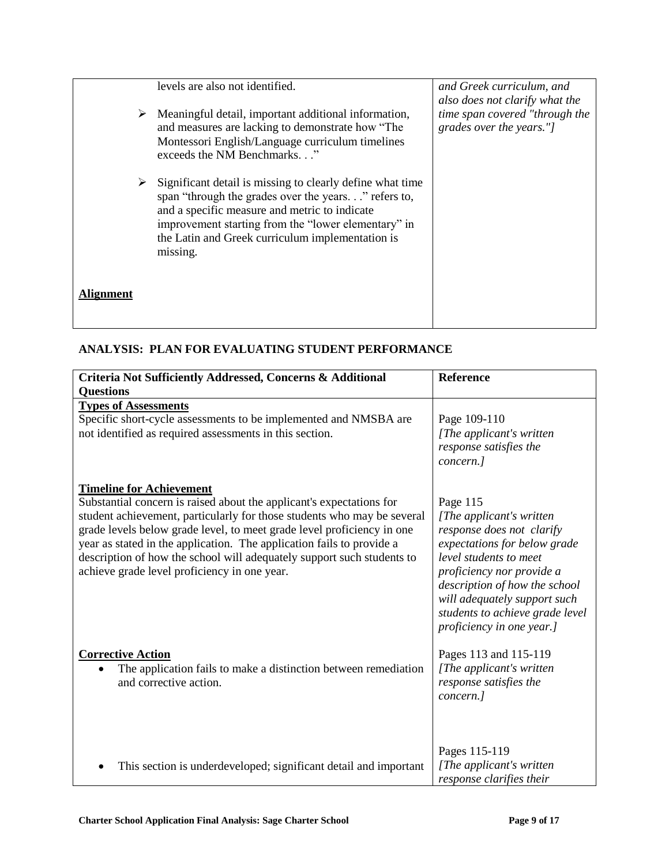|           | levels are also not identified.                                                                                                                                                                                                                                                          | and Greek curriculum, and<br>also does not clarify what the |
|-----------|------------------------------------------------------------------------------------------------------------------------------------------------------------------------------------------------------------------------------------------------------------------------------------------|-------------------------------------------------------------|
| ➤         | Meaningful detail, important additional information,<br>and measures are lacking to demonstrate how "The<br>Montessori English/Language curriculum timelines<br>exceeds the NM Benchmarks"                                                                                               | time span covered "through the<br>grades over the years."]  |
| ➤         | Significant detail is missing to clearly define what time<br>span "through the grades over the years" refers to,<br>and a specific measure and metric to indicate<br>improvement starting from the "lower elementary" in<br>the Latin and Greek curriculum implementation is<br>missing. |                                                             |
| Alignment |                                                                                                                                                                                                                                                                                          |                                                             |

### **ANALYSIS: PLAN FOR EVALUATING STUDENT PERFORMANCE**

| Criteria Not Sufficiently Addressed, Concerns & Additional<br><b>Questions</b>                                                                                                                                                                                                                                                                                                                                                                                  | <b>Reference</b>                                                                                                                                                                                                                                                                           |
|-----------------------------------------------------------------------------------------------------------------------------------------------------------------------------------------------------------------------------------------------------------------------------------------------------------------------------------------------------------------------------------------------------------------------------------------------------------------|--------------------------------------------------------------------------------------------------------------------------------------------------------------------------------------------------------------------------------------------------------------------------------------------|
| <b>Types of Assessments</b><br>Specific short-cycle assessments to be implemented and NMSBA are<br>not identified as required assessments in this section.                                                                                                                                                                                                                                                                                                      | Page 109-110<br>[The applicant's written]<br>response satisfies the<br>concern.]                                                                                                                                                                                                           |
| <b>Timeline for Achievement</b><br>Substantial concern is raised about the applicant's expectations for<br>student achievement, particularly for those students who may be several<br>grade levels below grade level, to meet grade level proficiency in one<br>year as stated in the application. The application fails to provide a<br>description of how the school will adequately support such students to<br>achieve grade level proficiency in one year. | Page 115<br>[The applicant's written]<br>response does not clarify<br>expectations for below grade<br>level students to meet<br>proficiency nor provide a<br>description of how the school<br>will adequately support such<br>students to achieve grade level<br>proficiency in one year.] |
| <b>Corrective Action</b><br>The application fails to make a distinction between remediation<br>and corrective action.                                                                                                                                                                                                                                                                                                                                           | Pages 113 and 115-119<br>[The applicant's written<br>response satisfies the<br>concern.]                                                                                                                                                                                                   |
| This section is underdeveloped; significant detail and important                                                                                                                                                                                                                                                                                                                                                                                                | Pages 115-119<br>[The applicant's written<br>response clarifies their                                                                                                                                                                                                                      |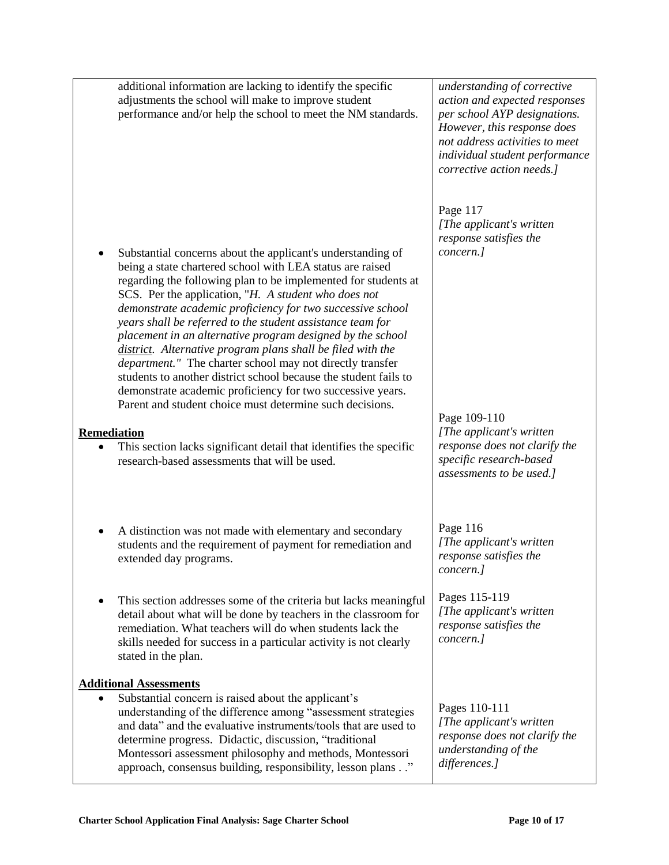|                    | additional information are lacking to identify the specific<br>adjustments the school will make to improve student<br>performance and/or help the school to meet the NM standards.                                                                                                                                                                                                                                                                                                                                                                                                                                                                                                                                                                                                                                                                                                                   | understanding of corrective<br>action and expected responses<br>per school AYP designations.<br>However, this response does<br>not address activities to meet<br>individual student performance<br>corrective action needs.] |
|--------------------|------------------------------------------------------------------------------------------------------------------------------------------------------------------------------------------------------------------------------------------------------------------------------------------------------------------------------------------------------------------------------------------------------------------------------------------------------------------------------------------------------------------------------------------------------------------------------------------------------------------------------------------------------------------------------------------------------------------------------------------------------------------------------------------------------------------------------------------------------------------------------------------------------|------------------------------------------------------------------------------------------------------------------------------------------------------------------------------------------------------------------------------|
| <b>Remediation</b> | Substantial concerns about the applicant's understanding of<br>being a state chartered school with LEA status are raised<br>regarding the following plan to be implemented for students at<br>SCS. Per the application, "H. A student who does not<br>demonstrate academic proficiency for two successive school<br>years shall be referred to the student assistance team for<br>placement in an alternative program designed by the school<br>district. Alternative program plans shall be filed with the<br><i>department."</i> The charter school may not directly transfer<br>students to another district school because the student fails to<br>demonstrate academic proficiency for two successive years.<br>Parent and student choice must determine such decisions.<br>This section lacks significant detail that identifies the specific<br>research-based assessments that will be used. | Page 117<br>[The applicant's written]<br>response satisfies the<br>concern.]<br>Page 109-110<br>[The applicant's written]<br>response does not clarify the<br>specific research-based<br>assessments to be used.]            |
| ٠                  | A distinction was not made with elementary and secondary<br>students and the requirement of payment for remediation and<br>extended day programs.                                                                                                                                                                                                                                                                                                                                                                                                                                                                                                                                                                                                                                                                                                                                                    | Page 116<br>[The applicant's written]<br>response satisfies the<br>concern.]                                                                                                                                                 |
|                    | This section addresses some of the criteria but lacks meaningful<br>detail about what will be done by teachers in the classroom for<br>remediation. What teachers will do when students lack the<br>skills needed for success in a particular activity is not clearly<br>stated in the plan.                                                                                                                                                                                                                                                                                                                                                                                                                                                                                                                                                                                                         | Pages 115-119<br>[The applicant's written<br>response satisfies the<br>concern.]                                                                                                                                             |
|                    | <b>Additional Assessments</b><br>Substantial concern is raised about the applicant's<br>understanding of the difference among "assessment strategies<br>and data" and the evaluative instruments/tools that are used to<br>determine progress. Didactic, discussion, "traditional<br>Montessori assessment philosophy and methods, Montessori<br>approach, consensus building, responsibility, lesson plans"                                                                                                                                                                                                                                                                                                                                                                                                                                                                                         | Pages 110-111<br>[The applicant's written<br>response does not clarify the<br>understanding of the<br>differences.]                                                                                                          |

Т

 $\Gamma$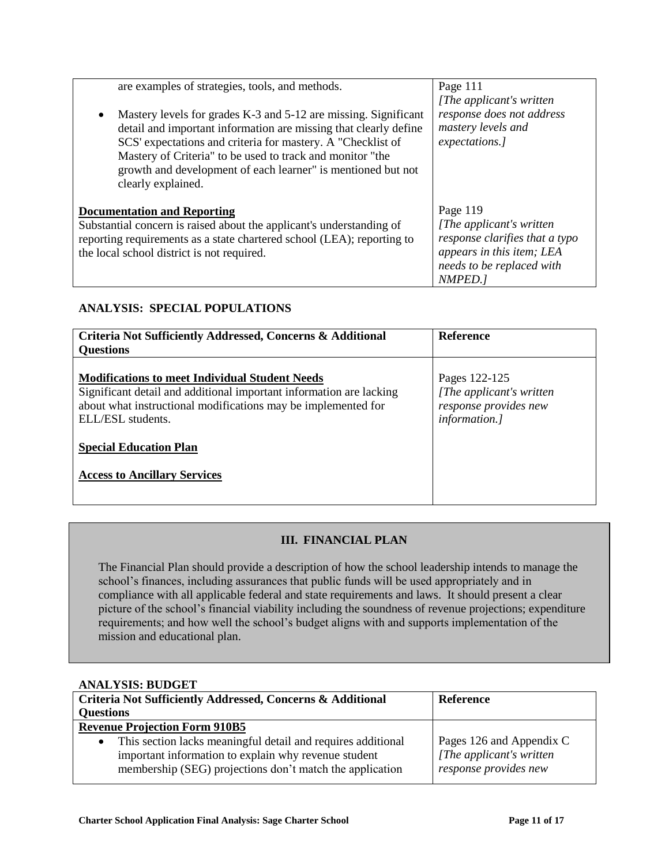| are examples of strategies, tools, and methods.<br>Mastery levels for grades K-3 and 5-12 are missing. Significant<br>$\bullet$<br>detail and important information are missing that clearly define<br>SCS' expectations and criteria for mastery. A "Checklist of | Page 111<br>[The applicant's written]<br>response does not address<br>mastery levels and<br>expectations.] |
|--------------------------------------------------------------------------------------------------------------------------------------------------------------------------------------------------------------------------------------------------------------------|------------------------------------------------------------------------------------------------------------|
| Mastery of Criteria" to be used to track and monitor "the<br>growth and development of each learner" is mentioned but not<br>clearly explained.                                                                                                                    |                                                                                                            |
| <b>Documentation and Reporting</b>                                                                                                                                                                                                                                 | Page 119                                                                                                   |
| Substantial concern is raised about the applicant's understanding of                                                                                                                                                                                               | [The applicant's written]                                                                                  |
| reporting requirements as a state chartered school (LEA); reporting to                                                                                                                                                                                             | response clarifies that a typo                                                                             |
| the local school district is not required.                                                                                                                                                                                                                         | appears in this item; LEA                                                                                  |
|                                                                                                                                                                                                                                                                    | needs to be replaced with                                                                                  |
|                                                                                                                                                                                                                                                                    | NMPED.1                                                                                                    |

### **ANALYSIS: SPECIAL POPULATIONS**

| Criteria Not Sufficiently Addressed, Concerns & Additional<br><b>Questions</b>                                                                                                                                                                                                             | <b>Reference</b>                                                                     |
|--------------------------------------------------------------------------------------------------------------------------------------------------------------------------------------------------------------------------------------------------------------------------------------------|--------------------------------------------------------------------------------------|
| <b>Modifications to meet Individual Student Needs</b><br>Significant detail and additional important information are lacking<br>about what instructional modifications may be implemented for<br>ELL/ESL students.<br><b>Special Education Plan</b><br><b>Access to Ancillary Services</b> | Pages 122-125<br>[The applicant's written]<br>response provides new<br>information.] |

### **III. FINANCIAL PLAN**

The Financial Plan should provide a description of how the school leadership intends to manage the school"s finances, including assurances that public funds will be used appropriately and in compliance with all applicable federal and state requirements and laws. It should present a clear picture of the school's financial viability including the soundness of revenue projections; expenditure requirements; and how well the school"s budget aligns with and supports implementation of the mission and educational plan.

| <b>ANALYSIS: BUDGET</b>                                                                                                                                                                       |                                                                                |  |
|-----------------------------------------------------------------------------------------------------------------------------------------------------------------------------------------------|--------------------------------------------------------------------------------|--|
| Criteria Not Sufficiently Addressed, Concerns & Additional                                                                                                                                    | <b>Reference</b>                                                               |  |
| <b>Questions</b>                                                                                                                                                                              |                                                                                |  |
| <b>Revenue Projection Form 910B5</b>                                                                                                                                                          |                                                                                |  |
| This section lacks meaningful detail and requires additional<br>$\bullet$<br>important information to explain why revenue student<br>membership (SEG) projections don't match the application | Pages 126 and Appendix C<br>[The applicant's written]<br>response provides new |  |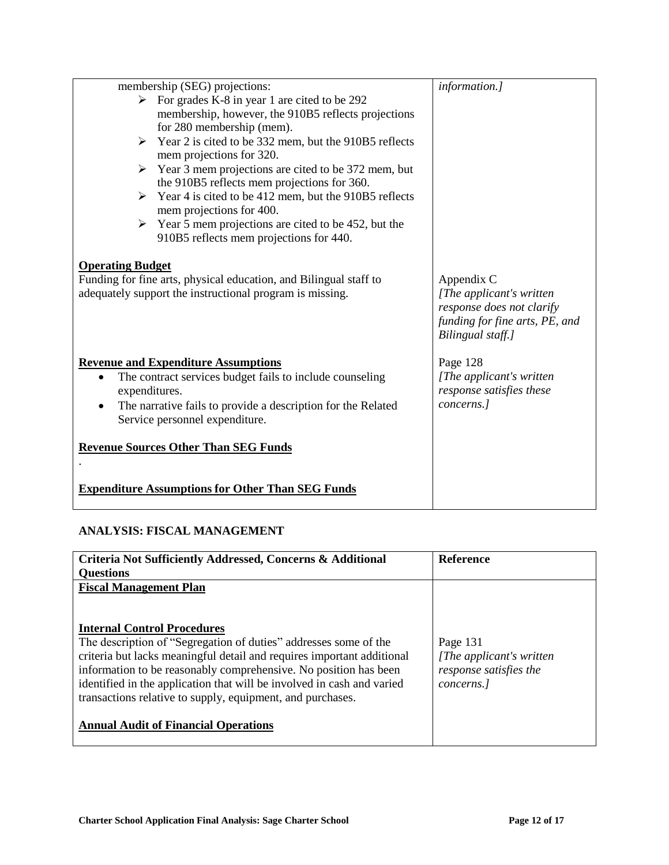|                         | membership (SEG) projections:                                                                                                 | information.]                                                                                                               |
|-------------------------|-------------------------------------------------------------------------------------------------------------------------------|-----------------------------------------------------------------------------------------------------------------------------|
|                         | $\triangleright$ For grades K-8 in year 1 are cited to be 292                                                                 |                                                                                                                             |
|                         | membership, however, the 910B5 reflects projections                                                                           |                                                                                                                             |
|                         | for 280 membership (mem).                                                                                                     |                                                                                                                             |
|                         | $\triangleright$ Year 2 is cited to be 332 mem, but the 910B5 reflects                                                        |                                                                                                                             |
|                         | mem projections for 320.                                                                                                      |                                                                                                                             |
| ➤                       | Year 3 mem projections are cited to be 372 mem, but                                                                           |                                                                                                                             |
|                         | the 910B5 reflects mem projections for 360.                                                                                   |                                                                                                                             |
| ➤                       | Year 4 is cited to be 412 mem, but the 910B5 reflects                                                                         |                                                                                                                             |
|                         | mem projections for 400.                                                                                                      |                                                                                                                             |
|                         | $\triangleright$ Year 5 mem projections are cited to be 452, but the                                                          |                                                                                                                             |
|                         | 910B5 reflects mem projections for 440.                                                                                       |                                                                                                                             |
| <b>Operating Budget</b> | Funding for fine arts, physical education, and Bilingual staff to<br>adequately support the instructional program is missing. | Appendix C<br>[The applicant's written]<br>response does not clarify<br>funding for fine arts, PE, and<br>Bilingual staff.] |
|                         | <b>Revenue and Expenditure Assumptions</b>                                                                                    | Page 128                                                                                                                    |
|                         | The contract services budget fails to include counseling                                                                      | [The applicant's written]                                                                                                   |
| expenditures.           |                                                                                                                               | response satisfies these                                                                                                    |
|                         | The narrative fails to provide a description for the Related                                                                  | concerns.]                                                                                                                  |
|                         | Service personnel expenditure.                                                                                                |                                                                                                                             |
|                         | <b>Revenue Sources Other Than SEG Funds</b>                                                                                   |                                                                                                                             |
|                         |                                                                                                                               |                                                                                                                             |
|                         |                                                                                                                               |                                                                                                                             |
|                         | <b>Expenditure Assumptions for Other Than SEG Funds</b>                                                                       |                                                                                                                             |
|                         |                                                                                                                               |                                                                                                                             |
|                         |                                                                                                                               |                                                                                                                             |

### **ANALYSIS: FISCAL MANAGEMENT**

| Criteria Not Sufficiently Addressed, Concerns & Additional                                                                                                                                                                                                                                                                                                                                                                                  | <b>Reference</b>                                                              |
|---------------------------------------------------------------------------------------------------------------------------------------------------------------------------------------------------------------------------------------------------------------------------------------------------------------------------------------------------------------------------------------------------------------------------------------------|-------------------------------------------------------------------------------|
| <b>Questions</b>                                                                                                                                                                                                                                                                                                                                                                                                                            |                                                                               |
| <b>Fiscal Management Plan</b>                                                                                                                                                                                                                                                                                                                                                                                                               |                                                                               |
| <b>Internal Control Procedures</b><br>The description of "Segregation of duties" addresses some of the<br>criteria but lacks meaningful detail and requires important additional<br>information to be reasonably comprehensive. No position has been<br>identified in the application that will be involved in cash and varied<br>transactions relative to supply, equipment, and purchases.<br><b>Annual Audit of Financial Operations</b> | Page 131<br>[The applicant's written]<br>response satisfies the<br>concerns.] |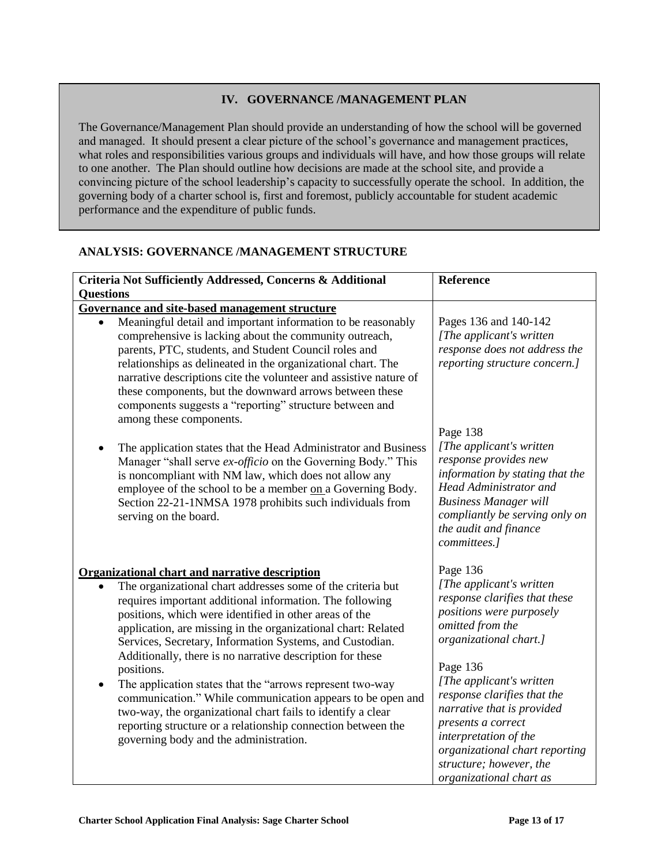#### **IV. GOVERNANCE /MANAGEMENT PLAN**

The Governance/Management Plan should provide an understanding of how the school will be governed and managed. It should present a clear picture of the school"s governance and management practices, what roles and responsibilities various groups and individuals will have, and how those groups will relate to one another. The Plan should outline how decisions are made at the school site, and provide a convincing picture of the school leadership"s capacity to successfully operate the school. In addition, the governing body of a charter school is, first and foremost, publicly accountable for student academic performance and the expenditure of public funds.

### **ANALYSIS: GOVERNANCE /MANAGEMENT STRUCTURE**

| Criteria Not Sufficiently Addressed, Concerns & Additional                                                                                                                                                                                                                                                                                                                                                                                                                                                                                                                                                                                                                                                                                             | Reference                                                                                                                                                                                                                                                                                                                                                                                    |
|--------------------------------------------------------------------------------------------------------------------------------------------------------------------------------------------------------------------------------------------------------------------------------------------------------------------------------------------------------------------------------------------------------------------------------------------------------------------------------------------------------------------------------------------------------------------------------------------------------------------------------------------------------------------------------------------------------------------------------------------------------|----------------------------------------------------------------------------------------------------------------------------------------------------------------------------------------------------------------------------------------------------------------------------------------------------------------------------------------------------------------------------------------------|
| <b>Questions</b>                                                                                                                                                                                                                                                                                                                                                                                                                                                                                                                                                                                                                                                                                                                                       |                                                                                                                                                                                                                                                                                                                                                                                              |
| Governance and site-based management structure<br>Meaningful detail and important information to be reasonably                                                                                                                                                                                                                                                                                                                                                                                                                                                                                                                                                                                                                                         | Pages 136 and 140-142                                                                                                                                                                                                                                                                                                                                                                        |
| comprehensive is lacking about the community outreach,<br>parents, PTC, students, and Student Council roles and<br>relationships as delineated in the organizational chart. The<br>narrative descriptions cite the volunteer and assistive nature of<br>these components, but the downward arrows between these<br>components suggests a "reporting" structure between and<br>among these components.                                                                                                                                                                                                                                                                                                                                                  | [The applicant's written<br>response does not address the<br>reporting structure concern.]                                                                                                                                                                                                                                                                                                   |
| The application states that the Head Administrator and Business<br>Manager "shall serve ex-officio on the Governing Body." This<br>is noncompliant with NM law, which does not allow any<br>employee of the school to be a member on a Governing Body.<br>Section 22-21-1NMSA 1978 prohibits such individuals from<br>serving on the board.                                                                                                                                                                                                                                                                                                                                                                                                            | Page 138<br>[The applicant's written<br>response provides new<br>information by stating that the<br>Head Administrator and<br><b>Business Manager will</b><br>compliantly be serving only on<br>the audit and finance<br>committees.]                                                                                                                                                        |
| <b>Organizational chart and narrative description</b><br>The organizational chart addresses some of the criteria but<br>requires important additional information. The following<br>positions, which were identified in other areas of the<br>application, are missing in the organizational chart: Related<br>Services, Secretary, Information Systems, and Custodian.<br>Additionally, there is no narrative description for these<br>positions.<br>The application states that the "arrows represent two-way<br>communication." While communication appears to be open and<br>two-way, the organizational chart fails to identify a clear<br>reporting structure or a relationship connection between the<br>governing body and the administration. | Page 136<br>[The applicant's written]<br>response clarifies that these<br>positions were purposely<br>omitted from the<br>organizational chart.]<br>Page 136<br>[The applicant's written<br>response clarifies that the<br>narrative that is provided<br>presents a correct<br>interpretation of the<br>organizational chart reporting<br>structure; however, the<br>organizational chart as |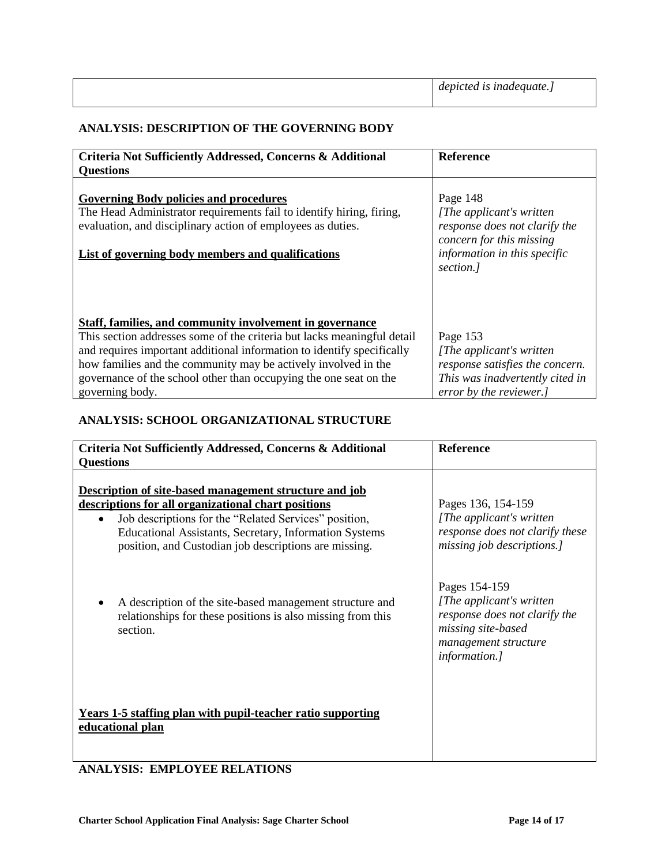### **ANALYSIS: DESCRIPTION OF THE GOVERNING BODY**

| Criteria Not Sufficiently Addressed, Concerns & Additional                                                                                                                                                                                                                                                                                                              | <b>Reference</b>                                                                                                                                |
|-------------------------------------------------------------------------------------------------------------------------------------------------------------------------------------------------------------------------------------------------------------------------------------------------------------------------------------------------------------------------|-------------------------------------------------------------------------------------------------------------------------------------------------|
| <b>Questions</b>                                                                                                                                                                                                                                                                                                                                                        |                                                                                                                                                 |
| <b>Governing Body policies and procedures</b><br>The Head Administrator requirements fail to identify hiring, firing,<br>evaluation, and disciplinary action of employees as duties.<br>List of governing body members and qualifications                                                                                                                               | Page 148<br>[The applicant's written]<br>response does not clarify the<br>concern for this missing<br>information in this specific<br>section.] |
| Staff, families, and community involvement in governance<br>This section addresses some of the criteria but lacks meaningful detail<br>and requires important additional information to identify specifically<br>how families and the community may be actively involved in the<br>governance of the school other than occupying the one seat on the<br>governing body. | Page 153<br>[The applicant's written]<br>response satisfies the concern.<br>This was inadvertently cited in<br>error by the reviewer.]          |

### **ANALYSIS: SCHOOL ORGANIZATIONAL STRUCTURE**

| Criteria Not Sufficiently Addressed, Concerns & Additional<br><b>Questions</b>                                                                                                                                                                                                            | Reference                                                                                                                                         |
|-------------------------------------------------------------------------------------------------------------------------------------------------------------------------------------------------------------------------------------------------------------------------------------------|---------------------------------------------------------------------------------------------------------------------------------------------------|
| Description of site-based management structure and job<br>descriptions for all organizational chart positions<br>Job descriptions for the "Related Services" position,<br>Educational Assistants, Secretary, Information Systems<br>position, and Custodian job descriptions are missing. | Pages 136, 154-159<br>[The applicant's written]<br>response does not clarify these<br>missing job descriptions.]                                  |
| A description of the site-based management structure and<br>relationships for these positions is also missing from this<br>section.                                                                                                                                                       | Pages 154-159<br>[The applicant's written]<br>response does not clarify the<br>missing site-based<br>management structure<br><i>information.]</i> |
| <b>Years 1-5 staffing plan with pupil-teacher ratio supporting</b><br>educational plan                                                                                                                                                                                                    |                                                                                                                                                   |

### **ANALYSIS: EMPLOYEE RELATIONS**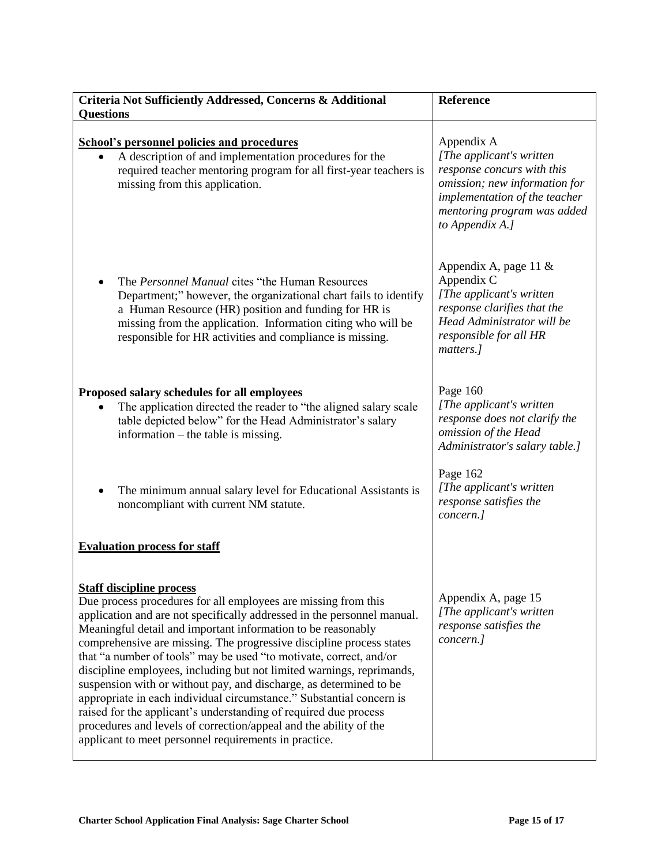| Criteria Not Sufficiently Addressed, Concerns & Additional<br><b>Questions</b>                                                                                                                                                                                                                                                                                                                                                                                                                                                                                                                                                                                                                                                                                                                                      | Reference                                                                                                                                                                                 |
|---------------------------------------------------------------------------------------------------------------------------------------------------------------------------------------------------------------------------------------------------------------------------------------------------------------------------------------------------------------------------------------------------------------------------------------------------------------------------------------------------------------------------------------------------------------------------------------------------------------------------------------------------------------------------------------------------------------------------------------------------------------------------------------------------------------------|-------------------------------------------------------------------------------------------------------------------------------------------------------------------------------------------|
| <b>School's personnel policies and procedures</b><br>A description of and implementation procedures for the<br>required teacher mentoring program for all first-year teachers is<br>missing from this application.                                                                                                                                                                                                                                                                                                                                                                                                                                                                                                                                                                                                  | Appendix A<br>[The applicant's written]<br>response concurs with this<br>omission; new information for<br>implementation of the teacher<br>mentoring program was added<br>to Appendix A.] |
| The Personnel Manual cites "the Human Resources"<br>Department;" however, the organizational chart fails to identify<br>a Human Resource (HR) position and funding for HR is<br>missing from the application. Information citing who will be<br>responsible for HR activities and compliance is missing.                                                                                                                                                                                                                                                                                                                                                                                                                                                                                                            | Appendix A, page 11 &<br>Appendix C<br>[The applicant's written<br>response clarifies that the<br>Head Administrator will be<br>responsible for all HR<br>matters.]                       |
| Proposed salary schedules for all employees<br>The application directed the reader to "the aligned salary scale"<br>table depicted below" for the Head Administrator's salary<br>information – the table is missing.                                                                                                                                                                                                                                                                                                                                                                                                                                                                                                                                                                                                | Page 160<br>[The applicant's written]<br>response does not clarify the<br>omission of the Head<br>Administrator's salary table.]                                                          |
| The minimum annual salary level for Educational Assistants is<br>noncompliant with current NM statute.                                                                                                                                                                                                                                                                                                                                                                                                                                                                                                                                                                                                                                                                                                              | Page 162<br>[The applicant's written<br>response satisfies the<br>concern.]                                                                                                               |
| <b>Evaluation process for staff</b>                                                                                                                                                                                                                                                                                                                                                                                                                                                                                                                                                                                                                                                                                                                                                                                 |                                                                                                                                                                                           |
| <b>Staff discipline process</b><br>Due process procedures for all employees are missing from this<br>application and are not specifically addressed in the personnel manual.<br>Meaningful detail and important information to be reasonably<br>comprehensive are missing. The progressive discipline process states<br>that "a number of tools" may be used "to motivate, correct, and/or<br>discipline employees, including but not limited warnings, reprimands,<br>suspension with or without pay, and discharge, as determined to be<br>appropriate in each individual circumstance." Substantial concern is<br>raised for the applicant's understanding of required due process<br>procedures and levels of correction/appeal and the ability of the<br>applicant to meet personnel requirements in practice. | Appendix A, page 15<br>[The applicant's written]<br>response satisfies the<br>concern.]                                                                                                   |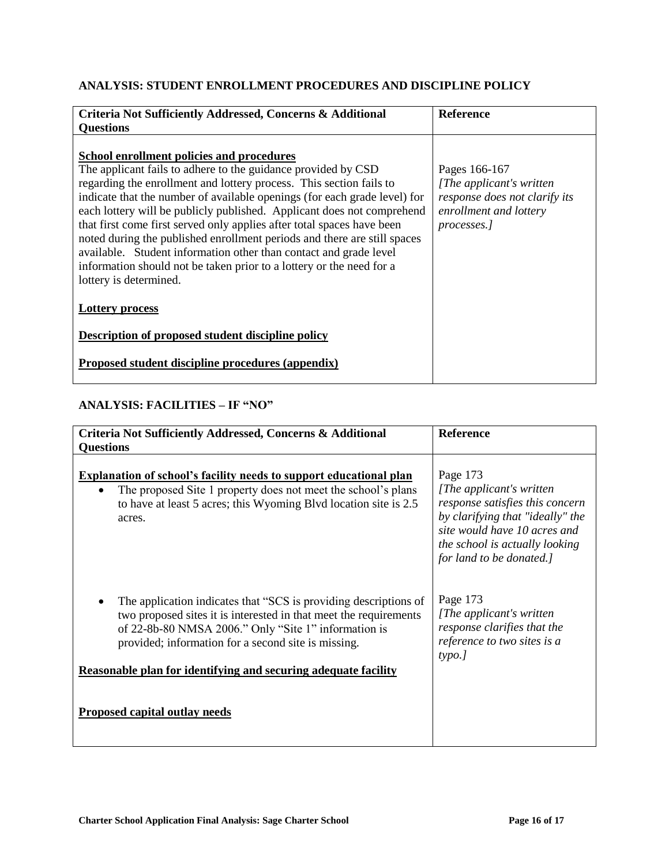### **ANALYSIS: STUDENT ENROLLMENT PROCEDURES AND DISCIPLINE POLICY**

| Criteria Not Sufficiently Addressed, Concerns & Additional                                                                                                                                                                                                                                                                                                                                                                                                                                                                                                                                                                                                            | <b>Reference</b>                                                                                                     |
|-----------------------------------------------------------------------------------------------------------------------------------------------------------------------------------------------------------------------------------------------------------------------------------------------------------------------------------------------------------------------------------------------------------------------------------------------------------------------------------------------------------------------------------------------------------------------------------------------------------------------------------------------------------------------|----------------------------------------------------------------------------------------------------------------------|
| <b>Questions</b>                                                                                                                                                                                                                                                                                                                                                                                                                                                                                                                                                                                                                                                      |                                                                                                                      |
| School enrollment policies and procedures<br>The applicant fails to adhere to the guidance provided by CSD<br>regarding the enrollment and lottery process. This section fails to<br>indicate that the number of available openings (for each grade level) for<br>each lottery will be publicly published. Applicant does not comprehend<br>that first come first served only applies after total spaces have been<br>noted during the published enrollment periods and there are still spaces<br>available. Student information other than contact and grade level<br>information should not be taken prior to a lottery or the need for a<br>lottery is determined. | Pages 166-167<br>[The applicant's written]<br>response does not clarify its<br>enrollment and lottery<br>processes.] |
| <b>Lottery process</b>                                                                                                                                                                                                                                                                                                                                                                                                                                                                                                                                                                                                                                                |                                                                                                                      |
| <b>Description of proposed student discipline policy</b>                                                                                                                                                                                                                                                                                                                                                                                                                                                                                                                                                                                                              |                                                                                                                      |
| Proposed student discipline procedures (appendix)                                                                                                                                                                                                                                                                                                                                                                                                                                                                                                                                                                                                                     |                                                                                                                      |

### **ANALYSIS: FACILITIES – IF "NO"**

| Criteria Not Sufficiently Addressed, Concerns & Additional                                                                                                                                                                                                                                                             | <b>Reference</b>                                                                                                                                                                                           |
|------------------------------------------------------------------------------------------------------------------------------------------------------------------------------------------------------------------------------------------------------------------------------------------------------------------------|------------------------------------------------------------------------------------------------------------------------------------------------------------------------------------------------------------|
| <b>Questions</b>                                                                                                                                                                                                                                                                                                       |                                                                                                                                                                                                            |
| Explanation of school's facility needs to support educational plan<br>The proposed Site 1 property does not meet the school's plans<br>to have at least 5 acres; this Wyoming Blvd location site is 2.5<br>acres.                                                                                                      | Page 173<br>[The applicant's written]<br>response satisfies this concern<br>by clarifying that "ideally" the<br>site would have 10 acres and<br>the school is actually looking<br>for land to be donated.] |
| The application indicates that "SCS is providing descriptions of<br>two proposed sites it is interested in that meet the requirements<br>of 22-8b-80 NMSA 2006." Only "Site 1" information is<br>provided; information for a second site is missing.<br>Reasonable plan for identifying and securing adequate facility | Page 173<br>[The applicant's written]<br>response clarifies that the<br>reference to two sites is a<br>type.]                                                                                              |
| <b>Proposed capital outlay needs</b>                                                                                                                                                                                                                                                                                   |                                                                                                                                                                                                            |